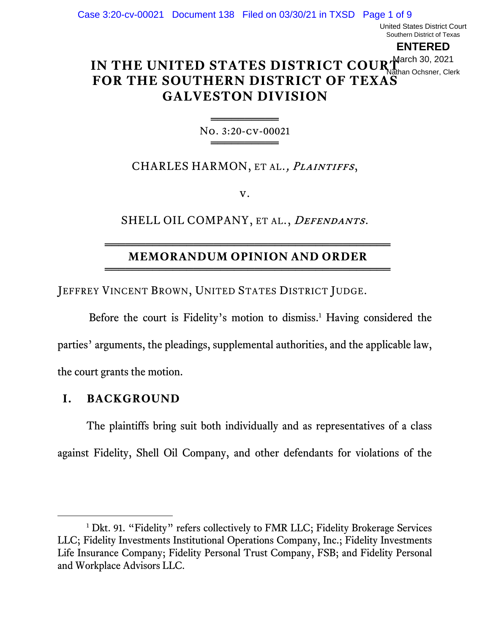United States District Court Southern District of Texas

**ENTERED**

### **IN THE UNITED STATES DISTRICT COUR March 30, 2021 FOR THE SOUTHERN DISTRICT OF TEXAS GALVESTON DIVISION** Nathan Ochsner, Clerk

═════════════════ No. 3:20-cv-00021 ═════════════════

CHARLES HARMON, ET AL., *PLAINTIFFS*,

v.

SHELL OIL COMPANY, ET AL., DEFENDANTS.

#### ══════════════════════════════════════════ **MEMORANDUM OPINION AND ORDER** ══════════════════════════════════════════

JEFFREY VINCENT BROWN, UNITED STATES DISTRICT JUDGE.

Before the court is Fidelity's motion to dismiss. <sup>1</sup> Having considered the parties' arguments, the pleadings, supplemental authorities, and the applicable law, the court grants the motion.

## **I. BACKGROUND**

The plaintiffs bring suit both individually and as representatives of a class against Fidelity, Shell Oil Company, and other defendants for violations of the

<sup>&</sup>lt;sup>1</sup> Dkt. 91. "Fidelity" refers collectively to FMR LLC; Fidelity Brokerage Services LLC; Fidelity Investments Institutional Operations Company, Inc.; Fidelity Investments Life Insurance Company; Fidelity Personal Trust Company, FSB; and Fidelity Personal and Workplace Advisors LLC.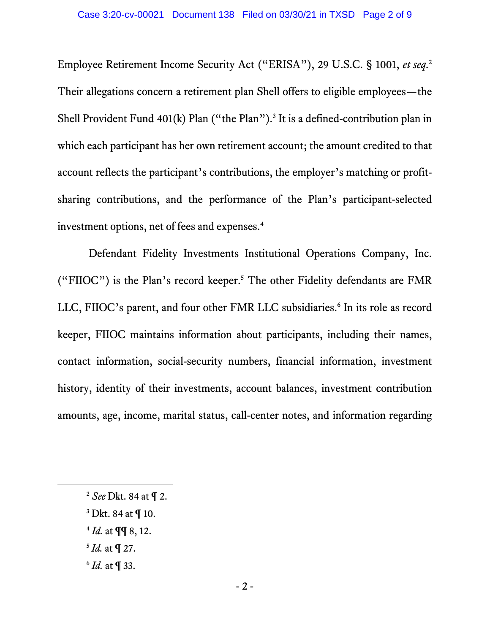Employee Retirement Income Security Act ("ERISA"), 29 U.S.C. § 1001, *et seq*. 2 Their allegations concern a retirement plan Shell offers to eligible employees—the Shell Provident Fund  $401(k)$  Plan ("the Plan").<sup>3</sup> It is a defined-contribution plan in which each participant has her own retirement account; the amount credited to that account reflects the participant's contributions, the employer's matching or profitsharing contributions, and the performance of the Plan's participant-selected investment options, net of fees and expenses.<sup>4</sup>

Defendant Fidelity Investments Institutional Operations Company, Inc. ("FIIOC") is the Plan's record keeper.<sup>5</sup> The other Fidelity defendants are FMR LLC, FIIOC's parent, and four other FMR LLC subsidiaries.<sup>6</sup> In its role as record keeper, FIIOC maintains information about participants, including their names, contact information, social-security numbers, financial information, investment history, identity of their investments, account balances, investment contribution amounts, age, income, marital status, call-center notes, and information regarding

- 4 *Id.* at ¶¶ 8, 12.
- 5 *Id.* at ¶ 27.
- 6 *Id.* at ¶ 33.

<sup>2</sup> *See* Dkt. 84 at ¶ 2.

<sup>3</sup> Dkt. 84 at ¶ 10.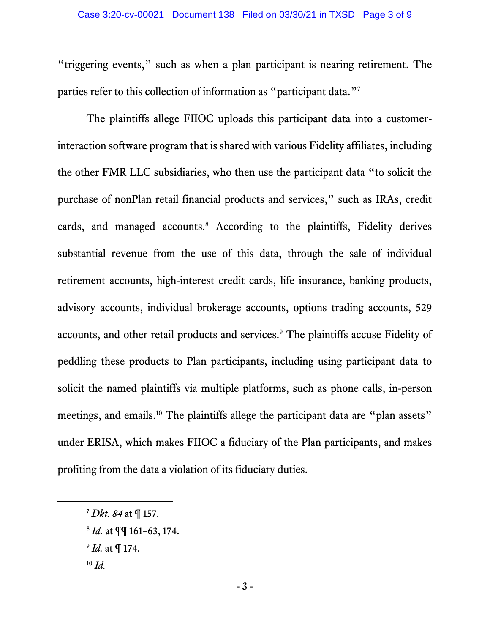"triggering events," such as when a plan participant is nearing retirement. The parties refer to this collection of information as "participant data."<sup>7</sup>

The plaintiffs allege FIIOC uploads this participant data into a customerinteraction software program that is shared with various Fidelity affiliates, including the other FMR LLC subsidiaries, who then use the participant data "to solicit the purchase of nonPlan retail financial products and services," such as IRAs, credit cards, and managed accounts.<sup>8</sup> According to the plaintiffs, Fidelity derives substantial revenue from the use of this data, through the sale of individual retirement accounts, high-interest credit cards, life insurance, banking products, advisory accounts, individual brokerage accounts, options trading accounts, 529 accounts, and other retail products and services.<sup>9</sup> The plaintiffs accuse Fidelity of peddling these products to Plan participants, including using participant data to solicit the named plaintiffs via multiple platforms, such as phone calls, in-person meetings, and emails.<sup>10</sup> The plaintiffs allege the participant data are "plan assets" under ERISA, which makes FIIOC a fiduciary of the Plan participants, and makes profiting from the data a violation of its fiduciary duties.

9 *Id.* at ¶ 174.

<sup>7</sup> *Dkt. 84* at ¶ 157.

<sup>8</sup> *Id.* at ¶¶ 161–63, 174.

<sup>10</sup> *Id.*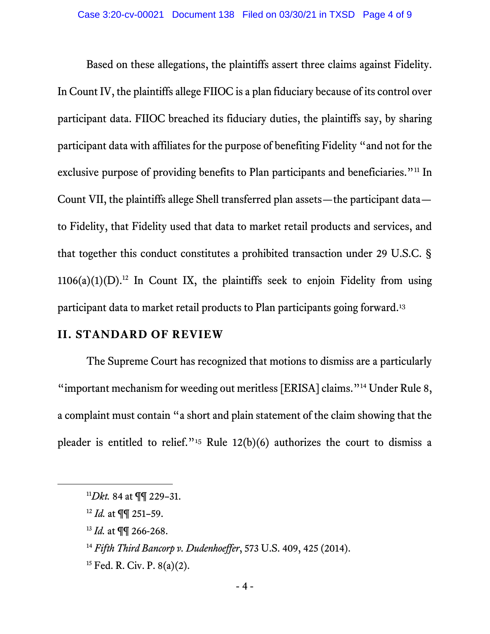Based on these allegations, the plaintiffs assert three claims against Fidelity. In Count IV, the plaintiffs allege FIIOC is a plan fiduciary because of its control over participant data. FIIOC breached its fiduciary duties, the plaintiffs say, by sharing participant data with affiliates for the purpose of benefiting Fidelity "and not for the exclusive purpose of providing benefits to Plan participants and beneficiaries."<sup>11</sup> In Count VII, the plaintiffs allege Shell transferred plan assets—the participant data to Fidelity, that Fidelity used that data to market retail products and services, and that together this conduct constitutes a prohibited transaction under 29 U.S.C. §  $1106(a)(1)(D)$ .<sup>12</sup> In Count IX, the plaintiffs seek to enjoin Fidelity from using participant data to market retail products to Plan participants going forward. 13

### **II. STANDARD OF REVIEW**

The Supreme Court has recognized that motions to dismiss are a particularly "important mechanism for weeding out meritless [ERISA] claims."<sup>14</sup> Under Rule 8, a complaint must contain "a short and plain statement of the claim showing that the pleader is entitled to relief."<sup>15</sup> Rule  $12(b)(6)$  authorizes the court to dismiss a

<sup>11</sup>*Dkt.* 84 at ¶¶ 229–31.

<sup>12</sup> *Id.* at ¶¶ 251–59.

<sup>13</sup> *Id.* at ¶¶ 266-268.

<sup>14</sup> *Fifth Third Bancorp v. Dudenhoeffer*, 573 U.S. 409, 425 (2014).

<sup>&</sup>lt;sup>15</sup> Fed. R. Civ. P. 8(a)(2).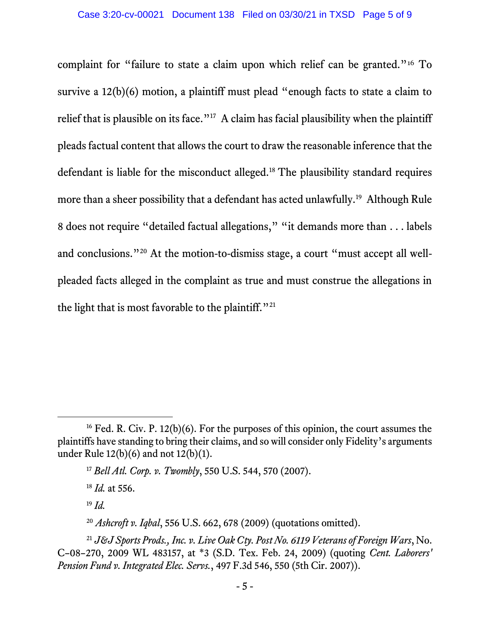complaint for "failure to state a claim upon which relief can be granted."<sup>16</sup> To survive a 12(b)(6) motion, a plaintiff must plead "enough facts to state a claim to relief that is plausible on its face."<sup>17</sup> A claim has facial plausibility when the plaintiff pleads factual content that allows the court to draw the reasonable inference that the defendant is liable for the misconduct alleged.<sup>18</sup> The plausibility standard requires more than a sheer possibility that a defendant has acted unlawfully.<sup>19</sup> Although Rule 8 does not require "detailed factual allegations," "it demands more than . . . labels and conclusions."<sup>20</sup> At the motion-to-dismiss stage, a court "must accept all wellpleaded facts alleged in the complaint as true and must construe the allegations in the light that is most favorable to the plaintiff."<sup>21</sup>

<sup>18</sup> *Id.* at 556.

<sup>19</sup> *Id.*

<sup>&</sup>lt;sup>16</sup> Fed. R. Civ. P. 12(b)(6). For the purposes of this opinion, the court assumes the plaintiffs have standing to bring their claims, and so will consider only Fidelity's arguments under Rule 12(b)(6) and not 12(b)(1).

<sup>17</sup> *Bell Atl. Corp. v. Twombly*, 550 U.S. 544, 570 (2007).

<sup>20</sup> *Ashcroft v. Iqbal*, 556 U.S. 662, 678 (2009) (quotations omitted).

<sup>21</sup> *J&J Sports Prods., Inc. v. Live Oak Cty. Post No. 6119 Veterans of Foreign Wars*, No. C–08–270, 2009 WL 483157, at \*3 (S.D. Tex. Feb. 24, 2009) (quoting *Cent. Laborers' Pension Fund v. Integrated Elec. Servs.*, 497 F.3d 546, 550 (5th Cir. 2007)).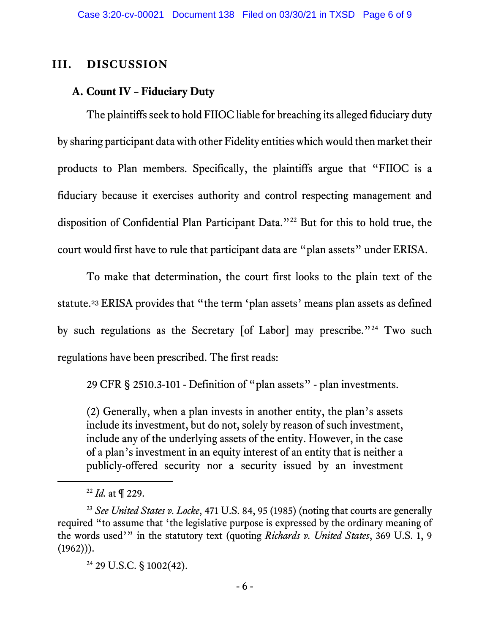# **III. DISCUSSION**

# **A. Count IV – Fiduciary Duty**

The plaintiffs seek to hold FIIOC liable for breaching its alleged fiduciary duty by sharing participant data with other Fidelity entities which would then market their products to Plan members. Specifically, the plaintiffs argue that "FIIOC is a fiduciary because it exercises authority and control respecting management and disposition of Confidential Plan Participant Data."<sup>22</sup> But for this to hold true, the court would first have to rule that participant data are "plan assets" under ERISA.

To make that determination, the court first looks to the plain text of the statute. <sup>23</sup> ERISA provides that "the term 'plan assets' means plan assets as defined by such regulations as the Secretary [of Labor] may prescribe."<sup>24</sup> Two such regulations have been prescribed. The first reads:

29 CFR § 2510.3-101 - Definition of "plan assets" - plan investments.

(2) Generally, when a plan invests in another entity, the plan's assets include its investment, but do not, solely by reason of such investment, include any of the underlying assets of the entity. However, in the case of a plan's investment in an equity interest of an entity that is neither a publicly-offered security nor a security issued by an investment

<sup>24</sup> 29 U.S.C. § 1002(42).

<sup>22</sup> *Id.* at ¶ 229.

<sup>23</sup> *See United States v. Locke*, 471 U.S. 84, 95 (1985) (noting that courts are generally required "to assume that 'the legislative purpose is expressed by the ordinary meaning of the words used'" in the statutory text (quoting *Richards v. United States*, 369 U.S. 1, 9  $(1962))$ .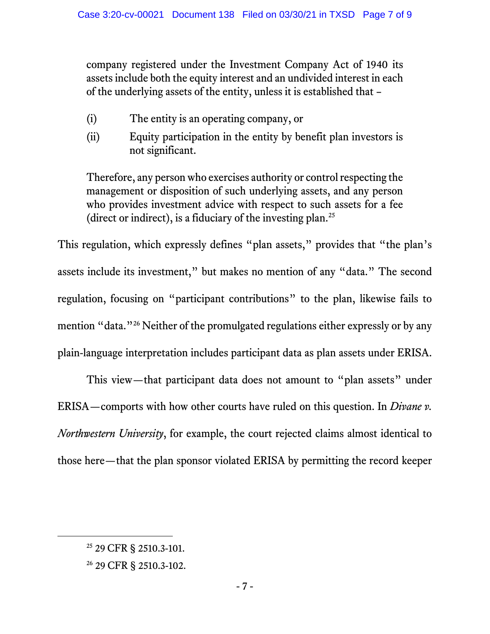company registered under the Investment Company Act of 1940 its assets include both the equity interest and an undivided interest in each of the underlying assets of the entity, unless it is established that –

- (i) The entity is an operating company, or
- (ii) Equity participation in the entity by benefit plan investors is not significant.

Therefore, any person who exercises authority or control respecting the management or disposition of such underlying assets, and any person who provides investment advice with respect to such assets for a fee (direct or indirect), is a fiduciary of the investing plan.<sup>25</sup>

This regulation, which expressly defines "plan assets," provides that "the plan's assets include its investment," but makes no mention of any "data." The second regulation, focusing on "participant contributions" to the plan, likewise fails to mention "data." <sup>26</sup> Neither of the promulgated regulations either expressly or by any plain-language interpretation includes participant data as plan assets under ERISA.

This view—that participant data does not amount to "plan assets" under ERISA—comports with how other courts have ruled on this question. In *Divane v. Northwestern University*, for example, the court rejected claims almost identical to those here—that the plan sponsor violated ERISA by permitting the record keeper

<sup>25</sup> 29 CFR § 2510.3-101.

<sup>26</sup> 29 CFR § 2510.3-102.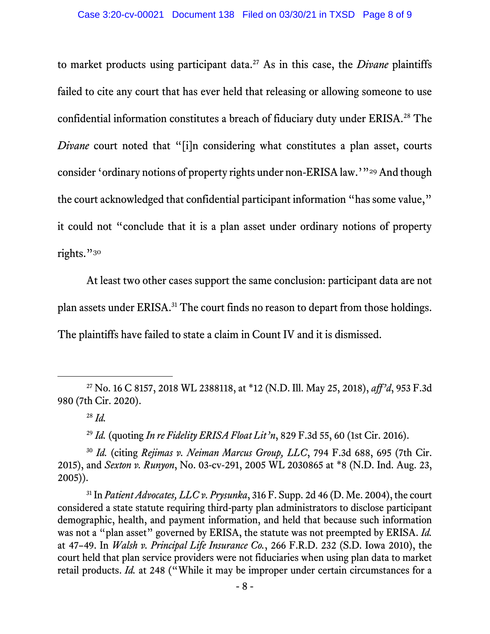to market products using participant data. <sup>27</sup> As in this case, the *Divane* plaintiffs failed to cite any court that has ever held that releasing or allowing someone to use confidential information constitutes a breach of fiduciary duty under ERISA.<sup>28</sup> The *Divane* court noted that "[i]n considering what constitutes a plan asset, courts consider 'ordinary notions of property rights under non-ERISA law.'"<sup>29</sup> And though the court acknowledged that confidential participant information "has some value," it could not "conclude that it is a plan asset under ordinary notions of property rights."30

At least two other cases support the same conclusion: participant data are not plan assets under ERISA.<sup>31</sup> The court finds no reason to depart from those holdings. The plaintiffs have failed to state a claim in Count IV and it is dismissed.

<sup>29</sup> *Id.* (quoting *In re Fidelity ERISA Float Lit'n*, 829 F.3d 55, 60 (1st Cir. 2016).

<sup>30</sup> *Id.* (citing *Rejimas v. Neiman Marcus Group, LLC*, 794 F.3d 688, 695 (7th Cir. 2015), and *Sexton v. Runyon*, No. 03-cv-291, 2005 WL 2030865 at \*8 (N.D. Ind. Aug. 23, 2005)).

<sup>31</sup> In *Patient Advocates, LLC v. Prysunka*, 316 F. Supp. 2d 46 (D. Me. 2004), the court considered a state statute requiring third-party plan administrators to disclose participant demographic, health, and payment information, and held that because such information was not a "plan asset" governed by ERISA, the statute was not preempted by ERISA. *Id.*  at 47–49. In *Walsh v. Principal Life Insurance Co.*, 266 F.R.D. 232 (S.D. Iowa 2010), the court held that plan service providers were not fiduciaries when using plan data to market retail products. *Id.* at 248 ("While it may be improper under certain circumstances for a

<sup>27</sup> No. 16 C 8157, 2018 WL 2388118, at \*12 (N.D. Ill. May 25, 2018), *aff'd*, 953 F.3d 980 (7th Cir. 2020).

<sup>28</sup> *Id.*